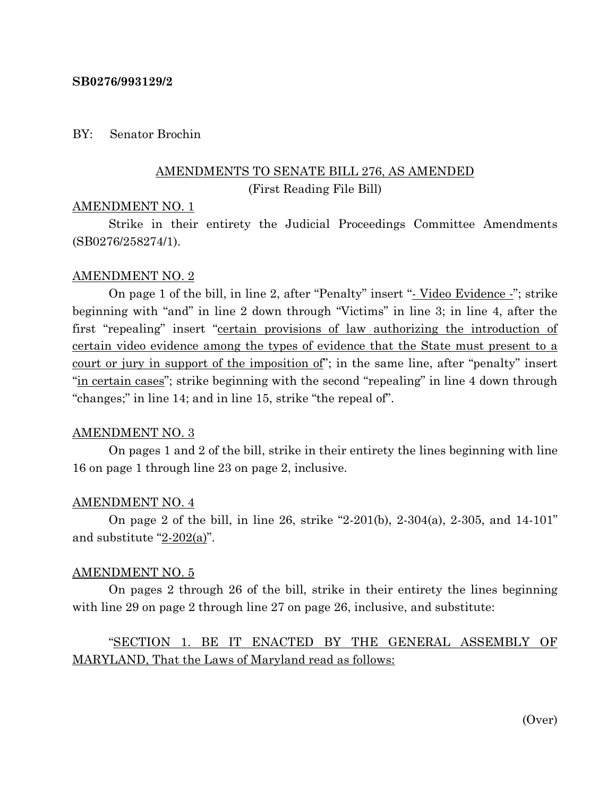## **SB0276/993129/2**

## BY: Senator Brochin

# AMENDMENTS TO SENATE BILL 276, AS AMENDED (First Reading File Bill)

## AMENDMENT NO. 1

Strike in their entirety the Judicial Proceedings Committee Amendments (SB0276/258274/1).

## AMENDMENT NO. 2

On page 1 of the bill, in line 2, after "Penalty" insert "- Video Evidence -"; strike beginning with "and" in line 2 down through "Victims" in line 3; in line 4, after the first "repealing" insert "certain provisions of law authorizing the introduction of certain video evidence among the types of evidence that the State must present to a court or jury in support of the imposition of"; in the same line, after "penalty" insert "in certain cases"; strike beginning with the second "repealing" in line 4 down through "changes;" in line 14; and in line 15, strike "the repeal of".

### AMENDMENT NO. 3

On pages 1 and 2 of the bill, strike in their entirety the lines beginning with line 16 on page 1 through line 23 on page 2, inclusive.

### AMENDMENT NO. 4

On page 2 of the bill, in line 26, strike "2-201(b), 2-304(a), 2-305, and 14-101" and substitute "2-202(a)".

#### AMENDMENT NO. 5

On pages 2 through 26 of the bill, strike in their entirety the lines beginning with line 29 on page 2 through line 27 on page 26, inclusive, and substitute:

# "SECTION 1. BE IT ENACTED BY THE GENERAL ASSEMBLY OF MARYLAND, That the Laws of Maryland read as follows:

(Over)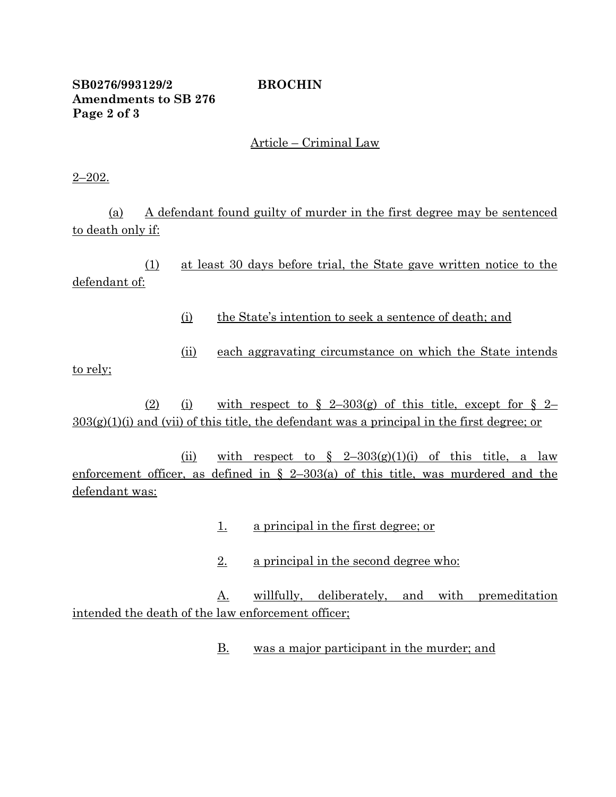# **SB0276/993129/2 BROCHIN Amendments to SB 276 Page 2 of 3**

# Article – Criminal Law

2–202.

(a) A defendant found guilty of murder in the first degree may be sentenced to death only if:

(1) at least 30 days before trial, the State gave written notice to the defendant of:

- (i) the State's intention to seek a sentence of death; and
- (ii) each aggravating circumstance on which the State intends

to rely;

(2) (i) with respect to  $\S$  2-303(g) of this title, except for  $\S$  2- $303(g)(1)(i)$  and (vii) of this title, the defendant was a principal in the first degree; or

(ii) with respect to  $\frac{2-303(g)(1)(i)}{2}$  of this title, a law enforcement officer, as defined in  $\S$  2–303(a) of this title, was murdered and the defendant was:

- 1. a principal in the first degree; or
- 2. a principal in the second degree who:

A. willfully, deliberately, and with premeditation intended the death of the law enforcement officer;

B. was a major participant in the murder; and